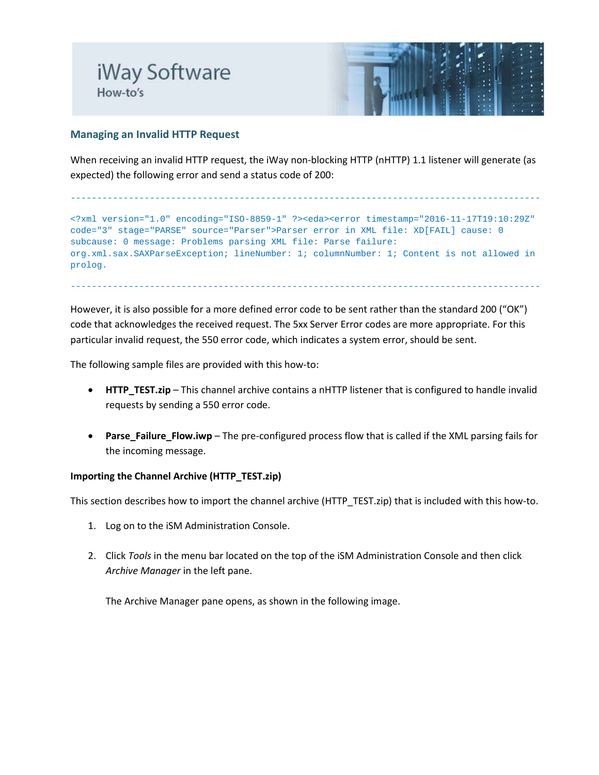

# **Managing an Invalid HTTP Request**

When receiving an invalid HTTP request, the iWay non-blocking HTTP (nHTTP) 1.1 listener will generate (as expected) the following error and send a status code of 200:

```
-----------------------------------------------------------------------------------------
<?xml version="1.0" encoding="ISO-8859-1" ?><eda><error timestamp="2016-11-17T19:10:29Z" 
code="3" stage="PARSE" source="Parser">Parser error in XML file: XD[FAIL] cause: 0 
subcause: 0 message: Problems parsing XML file: Parse failure: 
org.xml.sax.SAXParseException; lineNumber: 1; columnNumber: 1; Content is not allowed in 
prolog.
```
-----------------------------------------------------------------------------------------

However, it is also possible for a more defined error code to be sent rather than the standard 200 ("OK") code that acknowledges the received request. The 5xx Server Error codes are more appropriate. For this particular invalid request, the 550 error code, which indicates a system error, should be sent.

The following sample files are provided with this how-to:

- **HTTP\_TEST.zip** This channel archive contains a nHTTP listener that is configured to handle invalid requests by sending a 550 error code.
- **Parse\_Failure\_Flow.iwp** The pre-configured process flow that is called if the XML parsing fails for the incoming message.

### **Importing the Channel Archive (HTTP\_TEST.zip)**

This section describes how to import the channel archive (HTTP\_TEST.zip) that is included with this how-to.

- 1. Log on to the iSM Administration Console.
- 2. Click *Tools* in the menu bar located on the top of the iSM Administration Console and then click *Archive Manager* in the left pane.

The Archive Manager pane opens, as shown in the following image.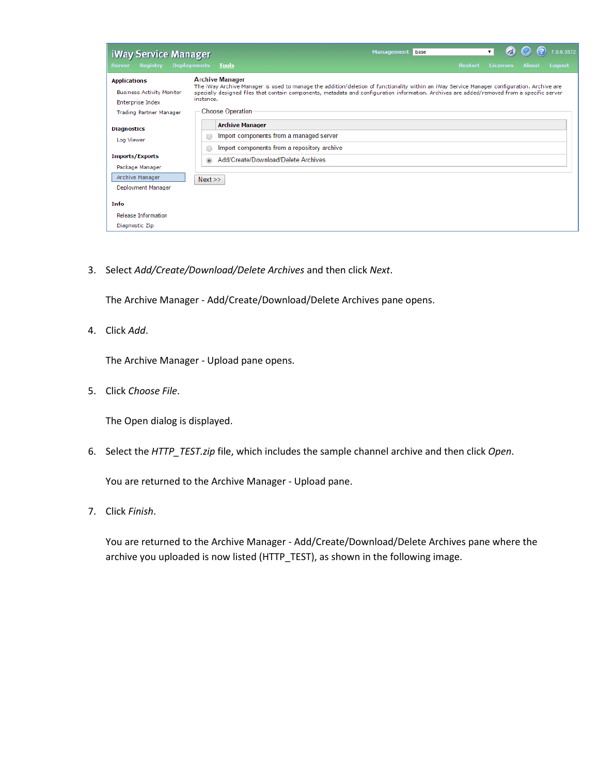| iWay Service Manager<br><b>Registry Deployments</b><br><b>Server</b>                                                                                                | Tools                                                                                                                                                                                                                                                                                                                                                        | <b>Management</b> base | <b>Restart</b> | <b>Licenses</b> | <b>About</b> | 0.6.3572<br>Logout |
|---------------------------------------------------------------------------------------------------------------------------------------------------------------------|--------------------------------------------------------------------------------------------------------------------------------------------------------------------------------------------------------------------------------------------------------------------------------------------------------------------------------------------------------------|------------------------|----------------|-----------------|--------------|--------------------|
| <b>Applications</b><br><b>Business Activity Monitor</b><br>Enterprise Index<br><b>Trading Partner Manager</b>                                                       | <b>Archive Manager</b><br>The iWay Archive Manager is used to manage the addition/deletion of functionality within an iWay Service Manager configuration. Archive are<br>specially designed files that contain components, metadata and configuration information. Archives are added/removed from a specific server<br>instance.<br><b>Choose Operation</b> |                        |                |                 |              |                    |
| <b>Diagnostics</b><br>Log Viewer<br><b>Imports/Exports</b><br>Package Manager<br>Archive Manager<br>Deployment Manager<br><b>Info</b><br><b>Release Information</b> | <b>Archive Manager</b><br>Import components from a managed server<br>◯<br>Import components from a repository archive<br>∩<br>Add/Create/Download/Delete Archives<br>$\circledcirc$<br>Next                                                                                                                                                                  |                        |                |                 |              |                    |

3. Select *Add/Create/Download/Delete Archives* and then click *Next*.

The Archive Manager - Add/Create/Download/Delete Archives pane opens.

4. Click *Add*.

The Archive Manager - Upload pane opens.

5. Click *Choose File*.

The Open dialog is displayed.

6. Select the *HTTP\_TEST.zip* file, which includes the sample channel archive and then click *Open*.

You are returned to the Archive Manager - Upload pane.

7. Click *Finish*.

You are returned to the Archive Manager - Add/Create/Download/Delete Archives pane where the archive you uploaded is now listed (HTTP\_TEST), as shown in the following image.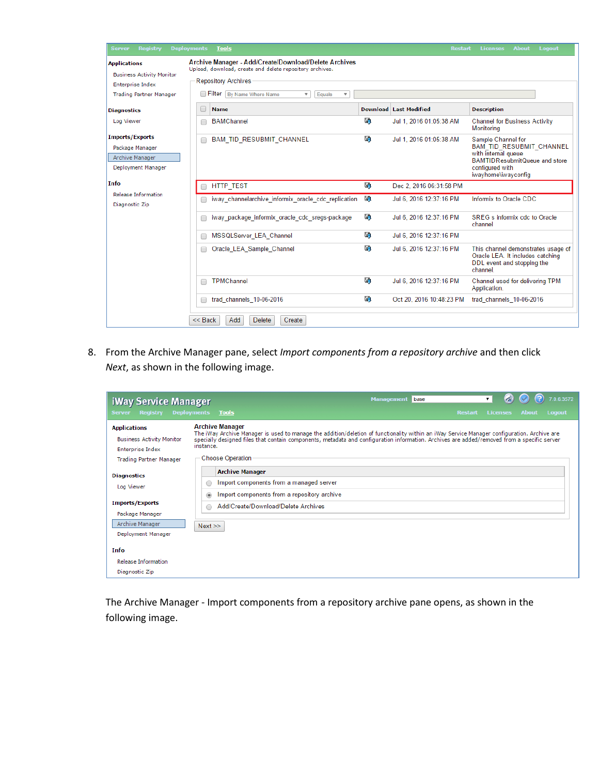| <b>Registry</b><br><b>Server</b>                                                   | <b>Deployments</b><br><b>Tools</b>                                                                                                              |    | <b>Restart</b>                | <b>About</b><br><b>Licenses</b><br><b>Logout</b>                                                                                                               |
|------------------------------------------------------------------------------------|-------------------------------------------------------------------------------------------------------------------------------------------------|----|-------------------------------|----------------------------------------------------------------------------------------------------------------------------------------------------------------|
| <b>Applications</b><br><b>Business Activity Monitor</b><br><b>Enterprise Index</b> | Archive Manager - Add/Create/Download/Delete Archives<br>Upload, download, create and delete repository archives.<br><b>Repository Archives</b> |    |                               |                                                                                                                                                                |
| <b>Trading Partner Manager</b>                                                     | Filter By Name Where Name<br>Equals<br>$\overline{\mathbf{v}}$<br>$\overline{\mathbf{v}}$                                                       |    |                               |                                                                                                                                                                |
| <b>Diagnostics</b>                                                                 | O<br><b>Name</b>                                                                                                                                |    | <b>Download Last Modified</b> | <b>Description</b>                                                                                                                                             |
| Log Viewer                                                                         | <b>BAMChannel</b><br>г                                                                                                                          | 励  | Jul 1, 2016 01:05:38 AM       | <b>Channel for Business Activity</b><br>Monitoring                                                                                                             |
| <b>Imports/Exports</b><br>Package Manager<br>Archive Manager<br>Deployment Manager | <b>BAM TID RESUBMIT CHANNEL</b><br>Г                                                                                                            | U) | Jul 1, 2016 01:05:38 AM       | Sample Channel for<br><b>BAM TID RESUBMIT CHANNEL</b><br>with internal queue<br><b>BAMTIDResubmitQueue and store</b><br>configured with<br>iwayhome\iwayconfig |
| Info                                                                               | <b>HTTP TEST</b>                                                                                                                                | 励  | Dec 2, 2016 06:31:58 PM       |                                                                                                                                                                |
| <b>Release Information</b><br>Diagnostic Zip                                       | iway channelarchive informix oracle cdc replication                                                                                             | 鷗  | Jul 6, 2016 12:37:16 PM       | Informix to Oracle CDC                                                                                                                                         |
|                                                                                    | iway package informix oracle cdc sregs-package<br>Г                                                                                             | L. | Jul 6, 2016 12:37:16 PM       | <b>SREG</b> s informix cdc to Oracle<br>channel                                                                                                                |
|                                                                                    | MSSQLServer LEA Channel<br>С                                                                                                                    | L. | Jul 6, 2016 12:37:16 PM       |                                                                                                                                                                |
|                                                                                    | Oracle LEA Sample Channel<br>Г                                                                                                                  | L. | Jul 6, 2016 12:37:16 PM       | This channel demonstrates usage of<br>Oracle LEA. It includes catching<br>DDL event and stopping the<br>channel.                                               |
|                                                                                    | <b>TPMChannel</b>                                                                                                                               | 励  | Jul 6, 2016 12:37:16 PM       | Channel used for delivering TPM<br>Application.                                                                                                                |
|                                                                                    | trad channels 10-06-2016<br>□                                                                                                                   | 週  | Oct 20, 2016 10:48:23 PM      | trad channels 10-06-2016                                                                                                                                       |
|                                                                                    | $<<$ Back<br>Add<br><b>Delete</b><br>Create                                                                                                     |    |                               |                                                                                                                                                                |

8. From the Archive Manager pane, select *Import components from a repository archive* and then click *Next*, as shown in the following image.

| <b>iWay Service Manager</b>                                                                                          |                                                                                                                                                                                                                                                                                                                                                              | <b>Management</b><br>base | 7.0.6.3572<br>۷.                          |
|----------------------------------------------------------------------------------------------------------------------|--------------------------------------------------------------------------------------------------------------------------------------------------------------------------------------------------------------------------------------------------------------------------------------------------------------------------------------------------------------|---------------------------|-------------------------------------------|
| <b>Server</b><br><b>Registry</b>                                                                                     | <b>Deployments</b><br><b>Tools</b>                                                                                                                                                                                                                                                                                                                           | <b>Restart</b>            | <b>Licenses</b><br><b>Logout</b><br>About |
| <b>Applications</b><br><b>Business Activity Monitor</b><br><b>Enterprise Index</b><br><b>Trading Partner Manager</b> | <b>Archive Manager</b><br>The iWay Archive Manager is used to manage the addition/deletion of functionality within an iWay Service Manager configuration. Archive are<br>specially designed files that contain components, metadata and configuration information. Archives are added/removed from a specific server<br>instance.<br><b>Choose Operation</b> |                           |                                           |
| <b>Diagnostics</b><br>Log Viewer                                                                                     | <b>Archive Manager</b><br>Import components from a managed server<br>○<br>Import components from a repository archive<br>$\circledcirc$                                                                                                                                                                                                                      |                           |                                           |
| <b>Imports/Exports</b><br>Package Manager<br>Archive Manager<br>Deployment Manager                                   | Add/Create/Download/Delete Archives<br>∩<br>Next                                                                                                                                                                                                                                                                                                             |                           |                                           |
| Info<br><b>Release Information</b><br>Diagnostic Zip                                                                 |                                                                                                                                                                                                                                                                                                                                                              |                           |                                           |

The Archive Manager - Import components from a repository archive pane opens, as shown in the following image.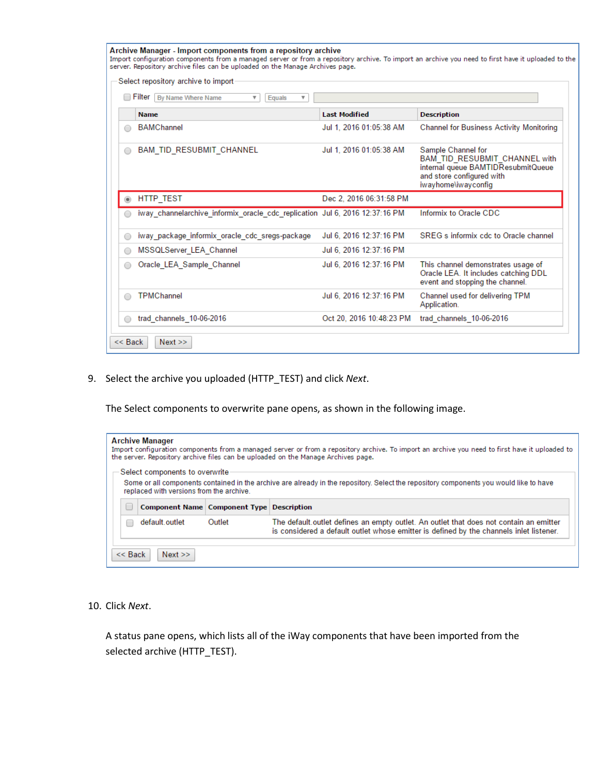|            | Select repository archive to import<br>Filter   By Name Where Name<br>v<br>Equals |                          |                                                                                                                                               |
|------------|-----------------------------------------------------------------------------------|--------------------------|-----------------------------------------------------------------------------------------------------------------------------------------------|
|            | <b>Name</b>                                                                       | <b>Last Modified</b>     | <b>Description</b>                                                                                                                            |
| ∩          | <b>BAMChannel</b>                                                                 | Jul 1, 2016 01:05:38 AM  | <b>Channel for Business Activity Monitoring</b>                                                                                               |
| $\bigcirc$ | <b>BAM TID RESUBMIT CHANNEL</b>                                                   | Jul 1, 2016 01:05:38 AM  | Sample Channel for<br>BAM_TID_RESUBMIT_CHANNEL with<br>internal queue BAMTIDResubmitQueue<br>and store configured with<br>iwayhome\iwayconfig |
|            | HTTP_TEST                                                                         | Dec 2, 2016 06:31:58 PM  |                                                                                                                                               |
|            | iway_channelarchive_informix_oracle_cdc_replication Jul 6, 2016 12:37:16 PM       |                          | Informix to Oracle CDC                                                                                                                        |
|            | iway package informix oracle cdc sregs-package                                    | Jul 6, 2016 12:37:16 PM  | SREG s informix ede to Oracle channel                                                                                                         |
| $\bigcirc$ | MSSQLServer LEA Channel                                                           | Jul 6, 2016 12:37:16 PM  |                                                                                                                                               |
| $\bigcirc$ | Oracle LEA Sample Channel                                                         | Jul 6, 2016 12:37:16 PM  | This channel demonstrates usage of<br>Oracle LEA. It includes catching DDL<br>event and stopping the channel.                                 |
| ◯          | <b>TPMChannel</b>                                                                 | Jul 6, 2016 12:37:16 PM  | Channel used for delivering TPM<br>Application.                                                                                               |
|            | trad channels 10-06-2016                                                          | Oct 20, 2016 10:48:23 PM | trad channels 10-06-2016                                                                                                                      |

9. Select the archive you uploaded (HTTP\_TEST) and click *Next*.

The Select components to overwrite pane opens, as shown in the following image.

| <b>Archive Manager</b><br>Import configuration components from a managed server or from a repository archive. To import an archive you need to first have it uploaded to<br>the server. Repository archive files can be uploaded on the Manage Archives page. |                                                      |  |  |  |  |  |
|---------------------------------------------------------------------------------------------------------------------------------------------------------------------------------------------------------------------------------------------------------------|------------------------------------------------------|--|--|--|--|--|
| Select components to overwrite<br>Some or all components contained in the archive are already in the repository. Select the repository components you would like to have<br>replaced with versions from the archive.                                          |                                                      |  |  |  |  |  |
|                                                                                                                                                                                                                                                               | <b>Component Name   Component Type   Description</b> |  |  |  |  |  |
| default.outlet<br>The default outlet defines an empty outlet. An outlet that does not contain an emitter<br>Outlet<br>is considered a default outlet whose emitter is defined by the channels inlet listener.                                                 |                                                      |  |  |  |  |  |
| $<<$ Back<br>Next                                                                                                                                                                                                                                             |                                                      |  |  |  |  |  |

10. Click *Next*.

A status pane opens, which lists all of the iWay components that have been imported from the selected archive (HTTP\_TEST).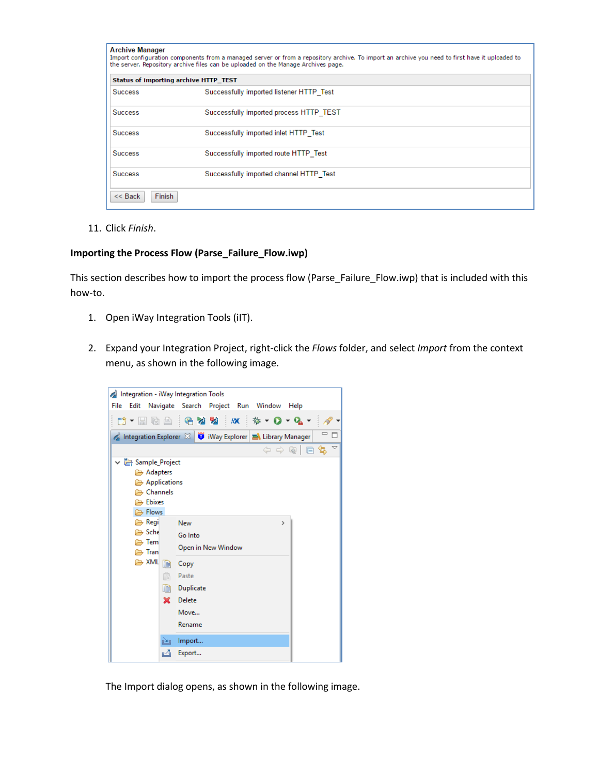|                | Status of importing archive HTTP_TEST    |
|----------------|------------------------------------------|
| <b>Success</b> | Successfully imported listener HTTP Test |
| <b>Success</b> | Successfully imported process HTTP TEST  |
| <b>Success</b> | Successfully imported inlet HTTP Test    |
| <b>Success</b> | Successfully imported route HTTP Test    |
| <b>Success</b> | Successfully imported channel HTTP Test  |

11. Click *Finish*.

#### **Importing the Process Flow (Parse\_Failure\_Flow.iwp)**

This section describes how to import the process flow (Parse\_Failure\_Flow.iwp) that is included with this how-to.

- 1. Open iWay Integration Tools (iIT).
- 2. Expand your Integration Project, right-click the *Flows* folder, and select *Import* from the context menu, as shown in the following image.



The Import dialog opens, as shown in the following image.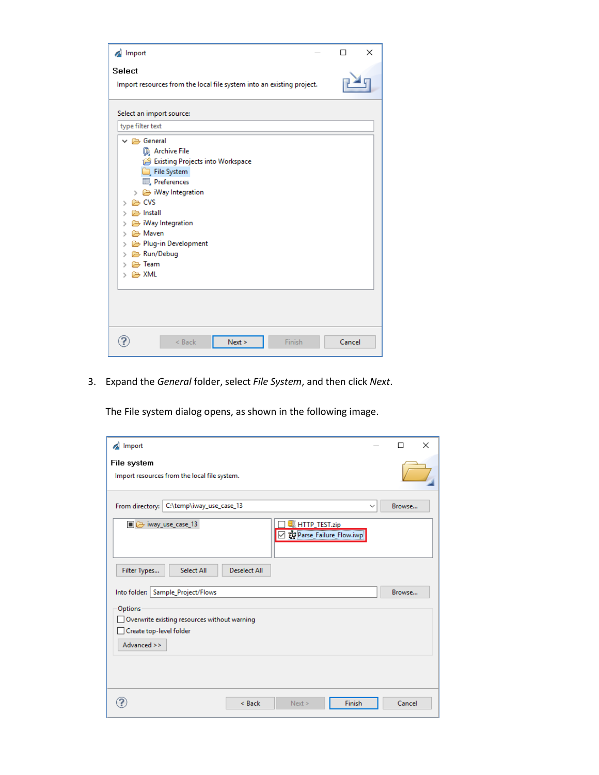| Import                                                                                                                                                                                                                                                                                                                                                                                              | п      | × |
|-----------------------------------------------------------------------------------------------------------------------------------------------------------------------------------------------------------------------------------------------------------------------------------------------------------------------------------------------------------------------------------------------------|--------|---|
| Select<br>Import resources from the local file system into an existing project.                                                                                                                                                                                                                                                                                                                     |        |   |
| Select an import source:                                                                                                                                                                                                                                                                                                                                                                            |        |   |
| type filter text                                                                                                                                                                                                                                                                                                                                                                                    |        |   |
| $\vee \triangleright$ General<br><b>B</b> Archive File<br>Existing Projects into Workspace<br>File System<br>Preferences<br>$\angle$ $\implies$ iWay Integration<br>$\rightarrow$ $\approx$ CVS<br>$\angle$ $\rightarrow$ Install<br>iWay Integration<br>⋋<br>A Maven<br>$\rightarrow$<br>> <b>E</b> > Plug-in Development<br>> <del>≥</del> Run/Debug<br>> A Team<br>$\angle$ $\triangleright$ XML |        |   |
| Next ><br>Finish<br>$<$ Back                                                                                                                                                                                                                                                                                                                                                                        | Cancel |   |

3. Expand the *General* folder, select *File System*, and then click *Next*.

The File system dialog opens, as shown in the following image.

| Import<br>Á                                         |                                              |                     |                                         |              |        | $\times$ |
|-----------------------------------------------------|----------------------------------------------|---------------------|-----------------------------------------|--------------|--------|----------|
| File system                                         | Import resources from the local file system. |                     |                                         |              |        |          |
| From directory:                                     | C:\temp\iway_use_case_13                     |                     |                                         | $\checkmark$ | Browse |          |
| ■ → iway_use_case_13                                |                                              |                     | HTTP_TEST.zip<br>Parse_Failure_Flow.iwp |              |        |          |
| Filter Types<br>Into folder:   Sample_Project/Flows | Select All                                   | <b>Deselect All</b> |                                         |              | Browse |          |
| Options<br>Create top-level folder                  | Overwrite existing resources without warning |                     |                                         |              |        |          |
| Advanced >>                                         |                                              |                     |                                         |              |        |          |
|                                                     |                                              | $<$ Back            | Next >                                  | Finish       | Cancel |          |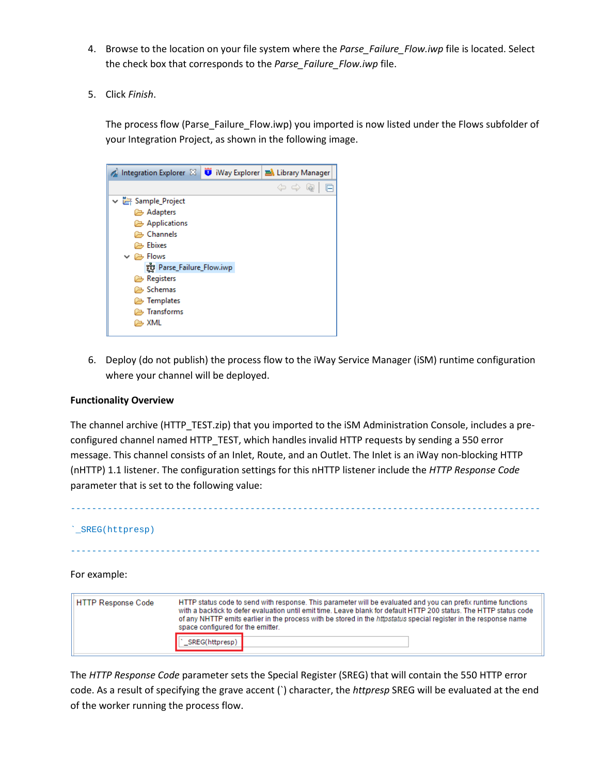- 4. Browse to the location on your file system where the *Parse Failure Flow.iwp* file is located. Select the check box that corresponds to the *Parse\_Failure\_Flow.iwp* file.
- 5. Click *Finish*.

The process flow (Parse\_Failure\_Flow.iwp) you imported is now listed under the Flows subfolder of your Integration Project, as shown in the following image.



6. Deploy (do not publish) the process flow to the iWay Service Manager (iSM) runtime configuration where your channel will be deployed.

### **Functionality Overview**

The channel archive (HTTP\_TEST.zip) that you imported to the iSM Administration Console, includes a preconfigured channel named HTTP\_TEST, which handles invalid HTTP requests by sending a 550 error message. This channel consists of an Inlet, Route, and an Outlet. The Inlet is an iWay non-blocking HTTP (nHTTP) 1.1 listener. The configuration settings for this nHTTP listener include the *HTTP Response Code* parameter that is set to the following value:

# ----------------------------------------------------------------------------------------- `\_SREG(httpresp) ----------------------------------------------------------------------------------------- For example: HTTP status code to send with response. This parameter will be evaluated and you can prefix runtime functions **HTTP Response Code** with a backtick to defer evaluation until emit time. Leave blank for default HTTP 200 status. The HTTP status code of any NHTTP emits earlier in the process with be stored in the httpstatus special register in the response name space configured for the emitter. SREG(httpresp)

The *HTTP Response Code* parameter sets the Special Register (SREG) that will contain the 550 HTTP error code. As a result of specifying the grave accent (`) character, the *httpresp* SREG will be evaluated at the end of the worker running the process flow.